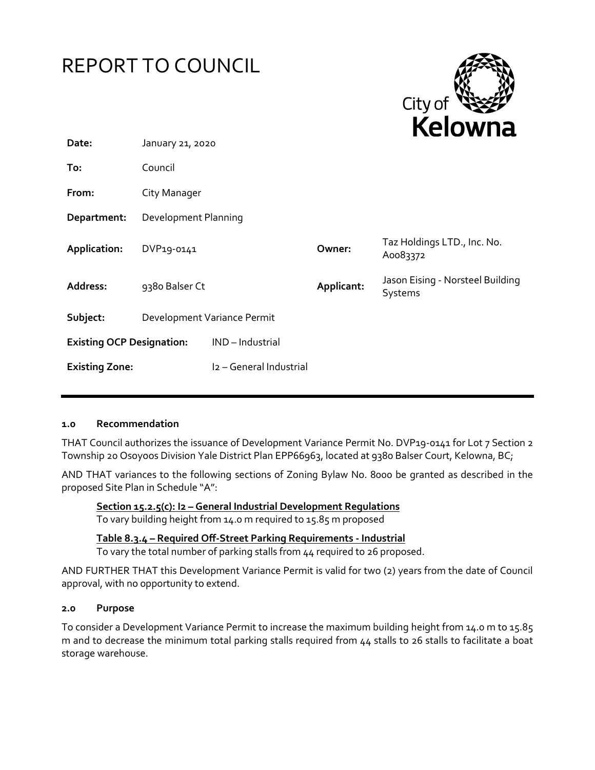

## **1.0 Recommendation**

THAT Council authorizes the issuance of Development Variance Permit No. DVP19-0141 for Lot 7 Section 2 Township 20 Osoyoos Division Yale District Plan EPP66963, located at 9380 Balser Court, Kelowna, BC;

AND THAT variances to the following sections of Zoning Bylaw No. 8000 be granted as described in the proposed Site Plan in Schedule "A":

**Section 15.2.5(c): I2 – General Industrial Development Regulations** To vary building height from 14.0 m required to 15.85 m proposed

**Table 8.3.4 – Required Off-Street Parking Requirements - Industrial**

To vary the total number of parking stalls from 44 required to 26 proposed.

AND FURTHER THAT this Development Variance Permit is valid for two (2) years from the date of Council approval, with no opportunity to extend.

#### **2.0 Purpose**

To consider a Development Variance Permit to increase the maximum building height from 14.0 m to 15.85 m and to decrease the minimum total parking stalls required from 44 stalls to 26 stalls to facilitate a boat storage warehouse.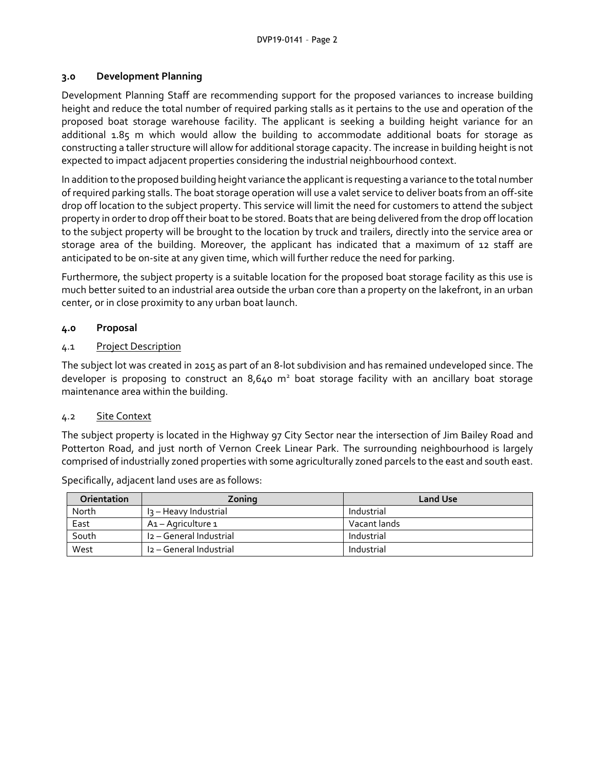#### **3.0 Development Planning**

Development Planning Staff are recommending support for the proposed variances to increase building height and reduce the total number of required parking stalls as it pertains to the use and operation of the proposed boat storage warehouse facility. The applicant is seeking a building height variance for an additional 1.85 m which would allow the building to accommodate additional boats for storage as constructing a taller structure will allow for additional storage capacity. The increase in building height is not expected to impact adjacent properties considering the industrial neighbourhood context.

In addition to the proposed building height variance the applicant is requesting a variance to the total number of required parking stalls. The boat storage operation will use a valet service to deliver boats from an off-site drop off location to the subject property. This service will limit the need for customers to attend the subject property in order to drop off their boat to be stored. Boats that are being delivered from the drop off location to the subject property will be brought to the location by truck and trailers, directly into the service area or storage area of the building. Moreover, the applicant has indicated that a maximum of 12 staff are anticipated to be on-site at any given time, which will further reduce the need for parking.

Furthermore, the subject property is a suitable location for the proposed boat storage facility as this use is much better suited to an industrial area outside the urban core than a property on the lakefront, in an urban center, or in close proximity to any urban boat launch.

## **4.0 Proposal**

#### 4.1 Project Description

The subject lot was created in 2015 as part of an 8-lot subdivision and has remained undeveloped since. The developer is proposing to construct an 8,640  $m<sup>2</sup>$  boat storage facility with an ancillary boat storage maintenance area within the building.

#### 4.2 Site Context

The subject property is located in the Highway 97 City Sector near the intersection of Jim Bailey Road and Potterton Road, and just north of Vernon Creek Linear Park. The surrounding neighbourhood is largely comprised of industrially zoned properties with some agriculturally zoned parcels to the east and south east.

| <b>Orientation</b> | Zoning                  | <b>Land Use</b> |
|--------------------|-------------------------|-----------------|
| North              | l3 – Heavy Industrial   | Industrial      |
| East               | A1 – Agriculture 1      | Vacant lands    |
| South              | I2 - General Industrial | Industrial      |
| West               | I2 – General Industrial | Industrial      |

Specifically, adjacent land uses are as follows: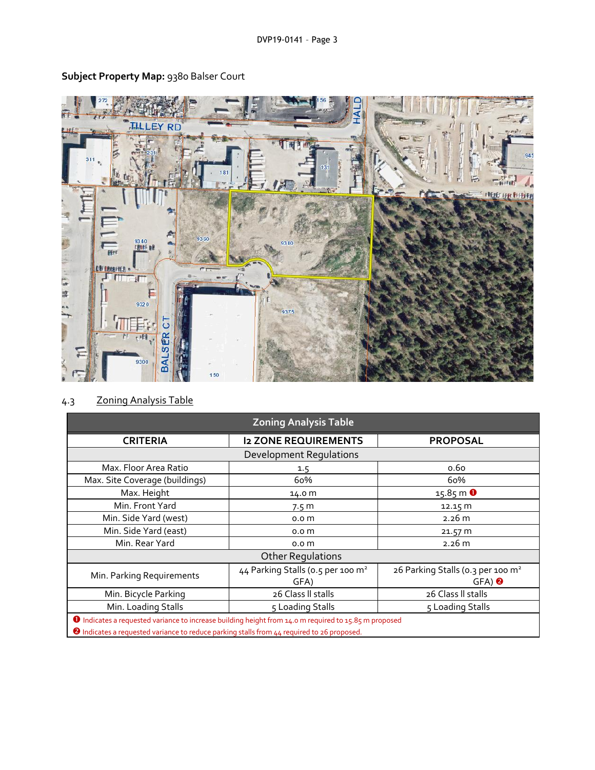

# **Subject Property Map:** 9380 Balser Court

# 4.3 Zoning Analysis Table

| <b>Zoning Analysis Table</b>                                                                                 |                                               |                                               |  |  |
|--------------------------------------------------------------------------------------------------------------|-----------------------------------------------|-----------------------------------------------|--|--|
| <b>CRITERIA</b>                                                                                              | <b>I2 ZONE REQUIREMENTS</b>                   | <b>PROPOSAL</b>                               |  |  |
| <b>Development Requlations</b>                                                                               |                                               |                                               |  |  |
| Max. Floor Area Ratio                                                                                        | 1.5                                           | 0.60                                          |  |  |
| Max. Site Coverage (buildings)                                                                               | 60%                                           | 60%                                           |  |  |
| Max. Height                                                                                                  | 14.0 m                                        | $15.85 \, \text{m}$ 0                         |  |  |
| Min. Front Yard                                                                                              | 7.5 <sub>m</sub>                              | 12.15 m                                       |  |  |
| Min. Side Yard (west)                                                                                        | 0.0 <sub>m</sub>                              | 2.26 m                                        |  |  |
| Min. Side Yard (east)                                                                                        | 0.0 <sub>m</sub>                              | 21.57 m                                       |  |  |
| Min. Rear Yard                                                                                               | 0.0 <sub>m</sub>                              | 2.26 m                                        |  |  |
| <b>Other Regulations</b>                                                                                     |                                               |                                               |  |  |
|                                                                                                              | 44 Parking Stalls (0.5 per 100 m <sup>2</sup> | 26 Parking Stalls (0.3 per 100 m <sup>2</sup> |  |  |
| Min. Parking Requirements                                                                                    | GFA)                                          | $GFA)$ <sup>2</sup>                           |  |  |
| Min. Bicycle Parking                                                                                         | 26 Class II stalls                            | 26 Class II stalls                            |  |  |
| Min. Loading Stalls                                                                                          | 5 Loading Stalls                              | 5 Loading Stalls                              |  |  |
| <b>O</b> Indicates a requested variance to increase building height from 14.0 m required to 15.85 m proposed |                                               |                                               |  |  |
| 2 Indicates a requested variance to reduce parking stalls from LL required to 26 proposed                    |                                               |                                               |  |  |

<sup>2</sup> Indicates a requested variance to reduce parking stalls from 44 required to 26 proposed.